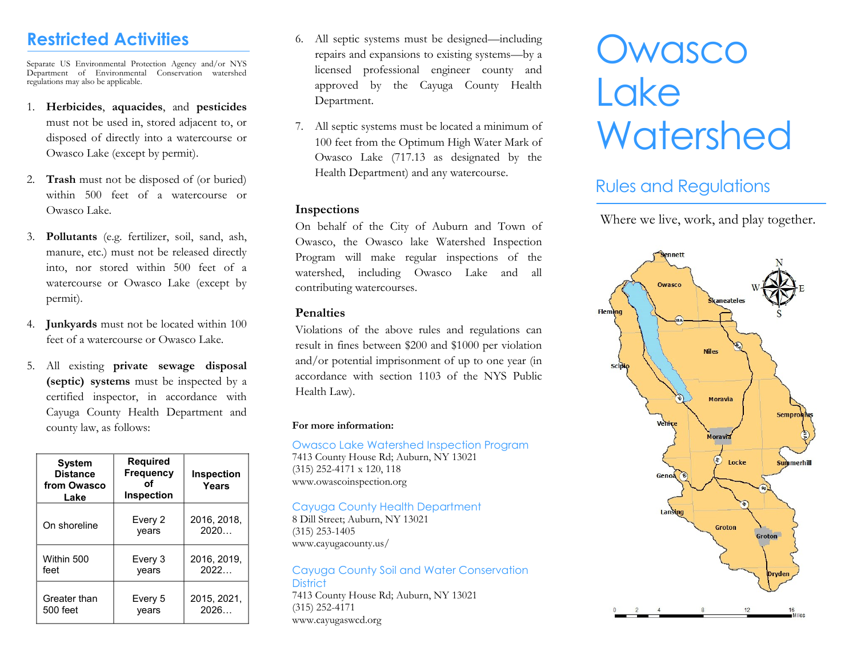## **Restricted Activities**

Separate US Environmental Protection Agency and/or NYS Department of Environmental Conservation watershed regulations may also be applicable.

- 1. **Herbicides**, **aquacides**, and **pesticides** must not be used in, stored adjacent to, or disposed of directly into a watercourse or Owasco Lake (except by permit).
- 2. **Trash** must not be disposed of (or buried) within 500 feet of a watercourse or Owasco Lake.
- 3. **Pollutants** (e.g. fertilizer, soil, sand, ash, manure, etc.) must not be released directly into, nor stored within 500 feet of a watercourse or Owasco Lake (except by permit).
- 4. **Junkyards** must not be located within 100 feet of a watercourse or Owasco Lake.
- 5. All existing **private sewage disposal (septic) systems** must be inspected by a certified inspector, in accordance with Cayuga County Health Department and county law, as follows:

| <b>System</b><br><b>Distance</b><br>from Owasco<br>Lake | <b>Required</b><br>Frequency<br>оf<br><b>Inspection</b> | <b>Inspection</b><br>Years |
|---------------------------------------------------------|---------------------------------------------------------|----------------------------|
| On shoreline                                            | Every 2<br>vears                                        | 2016, 2018,<br>2020        |
| Within 500                                              | Every 3                                                 | 2016, 2019,                |
| feet                                                    | vears                                                   | 2022                       |
| Greater than                                            | Every 5                                                 | 2015.2021.                 |
| 500 feet                                                | vears                                                   | 2026                       |

- 6. All septic systems must be designed—including repairs and expansions to existing systems—by a licensed professional engineer county and approved by the Cayuga County Health Department.
- 7. All septic systems must be located a minimum of 100 feet from the Optimum High Water Mark of Owasco Lake (717.13 as designated by the Health Department) and any watercourse.

#### **Inspections**

On behalf of the City of Auburn and Town of Owasco, the Owasco lake Watershed Inspection Program will make regular inspections of the watershed, including Owasco Lake and all contributing watercourses.

#### **Penalties**

Violations of the above rules and regulations can result in fines between \$200 and \$1000 per violation and/or potential imprisonment of up to one year (in accordance with section 1103 of the NYS Public Health Law).

#### **For more information:**

Owasco Lake Watershed Inspection Program 7413 County House Rd; Auburn, NY 13021 (315) 252-4171 x 120, 118 www.owascoinspection.org

### Cayuga County Health Department

8 Dill Street; Auburn, NY 13021 (315) 253-1405 www.cayugacounty.us/

#### Cayuga County Soil and Water Conservation **District** 7413 County House Rd; Auburn, NY 13021

(315) 252-4171 www.cayugaswcd.org

# **Owasco Lake Watershed**

## Rules and Regulations

Where we live, work, and play together.